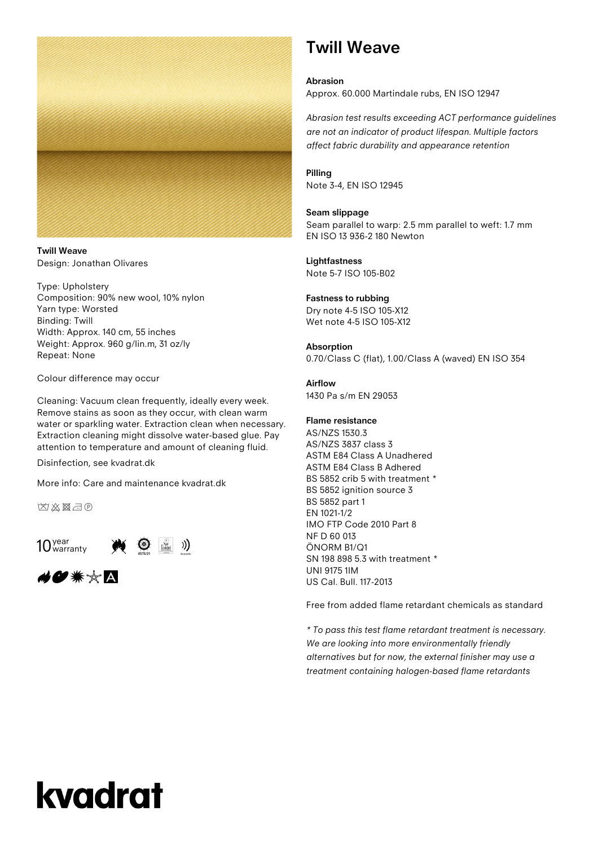

**Twill Weave** Design: Jonathan Olivares

Type: Upholstery Composition: 90% new wool, 10% nylon Yarn type: Worsted Binding: Twill Width: Approx. 140 cm, 55 inches Weight: Approx. 960 g/lin.m, 31 oz/ly Repeat: None

Colour difference may occur

Cleaning: Vacuum clean frequently, ideally every week. Remove stains as soon as they occur, with clean warm water or sparkling water. Extraction clean when necessary. Extraction cleaning might dissolve water-based glue. Pay attention to temperature and amount of cleaning fluid.

Disinfection, see kvadrat.dk

More info: Care and maintenance kvadrat.dk

凶凶图示



◢●☀☆△

### **Twill Weave**

**Abrasion** Approx. 60.000 Martindale rubs, EN ISO 12947

*Abrasion test results exceeding ACT performance guidelines are not an indicator of product lifespan. Multiple factors affect fabric durability and appearance retention*

**Pilling** Note 3-4, EN ISO 12945

#### **Seam slippage**

Seam parallel to warp: 2.5 mm parallel to weft: 1.7 mm EN ISO 13 936-2 180 Newton

**Lightfastness** Note 5-7 ISO 105-B02

#### **Fastness to rubbing**

Dry note 4-5 ISO 105-X12 Wet note 4-5 ISO 105-X12

#### **Absorption**

0.70/Class C (flat), 1.00/Class A (waved) EN ISO 354

#### **Airflow**

1430 Pa s/m EN 29053

#### **Flame resistance**

AS/NZS 1530.3 AS/NZS 3837 class 3 ASTM E84 Class A Unadhered ASTM E84 Class B Adhered BS 5852 crib 5 with treatment \* BS 5852 ignition source 3 BS 5852 part 1 EN 1021-1/2 IMO FTP Code 2010 Part 8 NF D 60 013 ÖNORM B1/Q1 SN 198 898 5.3 with treatment \* UNI 9175 1IM US Cal. Bull. 117-2013

Free from added flame retardant chemicals as standard

*\* To pass this test flame retardant treatment is necessary. We are looking into more environmentally friendly alternatives but for now, the external finisher may use a treatment containing halogen-based flame retardants*

# kvadrat